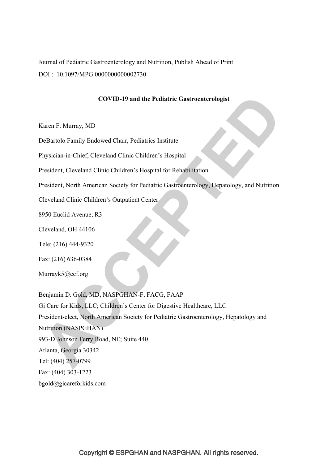Journal of Pediatric Gastroenterology and Nutrition, Publish Ahead of Print DOI : 10.1097/MPG.0000000000002730

## **COVID-19 and the Pediatric Gastroenterologist**

Karen F. Murray, MD

DeBartolo Family Endowed Chair, Pediatrics Institute

Physician-in-Chief, Cleveland Clinic Children's Hospital

President, Cleveland Clinic Children's Hospital for Rehabilitation

President, North American Society for Pediatric Gastroenterology, Hepatology, and Nutrition

Cleveland Clinic Children's Outpatient Center

8950 Euclid Avenue, R3

Cleveland, OH 44106

Tele: (216) 444-9320

Fax: (216) 636-0384

Murrayk5@ccf.org

Benjamin D. Gold, MD, NASPGHAN-F, FACG, FAAP Gi Care for Kids, LLC; Children's Center for Digestive Healthcare, LLC President-elect, North American Society for Pediatric Gastroenterology, Hepatology and Nutrition (NASPGHAN) 993-D Johnson Ferry Road, NE; Suite 440 Atlanta, Georgia 30342 Tel: (404) 257-0799 Fax: (404) 303-1223 bgold@gicareforkids.com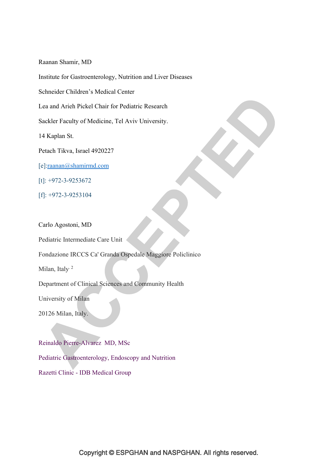Raanan Shamir, MD

Institute for Gastroenterology, Nutrition and Liver Diseases

Schneider Children's Medical Center

Lea and Arieh Pickel Chair for Pediatric Research

Sackler Faculty of Medicine, Tel Aviv University.

14 Kaplan St.

Petach Tikva, Israel 4920227

[e]:raanan@shamirmd.com

[t]: +972-3-9253672

[f]: +972-3-9253104

Carlo Agostoni, MD

Pediatric Intermediate Care Unit

Fondazione IRCCS Ca' Granda Ospedale Maggiore Policlinico

Milan, Italy<sup>2</sup>

Department of Clinical Sciences and Community Health

University of Milan

20126 Milan, Italy.

Reinaldo Pierre-Alvarez MD, MSc Pediatric Gastroenterology, Endoscopy and Nutrition Razetti Clinic - IDB Medical Group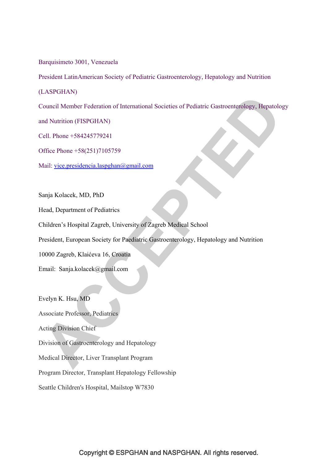Barquisimeto 3001, Venezuela

President LatinAmerican Society of Pediatric Gastroenterology, Hepatology and Nutrition

(LASPGHAN)

Council Member Federation of International Societies of Pediatric Gastroenterology, Hepatology

and Nutrition (FISPGHAN)

Cell. Phone +584245779241

Office Phone +58(251)7105759

Mail: vice.presidencia.laspghan@gmail.com

Sanja Kolacek, MD, PhD

Head, Department of Pediatrics

Children's Hospital Zagreb, University of Zagreb Medical School

President, European Society for Paediatric Gastroenterology, Hepatology and Nutrition

10000 Zagreb, Klaićeva 16, Croatia

Email: Sanja.kolacek@gmail.com

Evelyn K. Hsu, MD Associate Professor, Pediatrics Acting Division Chief Division of Gastroenterology and Hepatology Medical Director, Liver Transplant Program Program Director, Transplant Hepatology Fellowship Seattle Children's Hospital, Mailstop W7830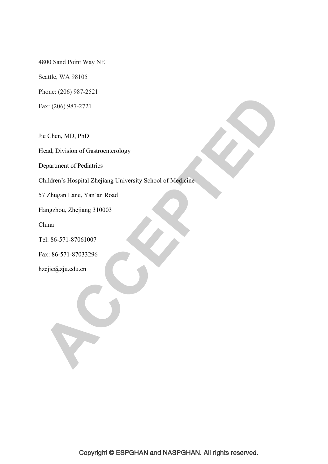4800 Sand Point Way NE

Seattle, WA 98105

Phone: (206) 987-2521

Fax: (206) 987-2721

Jie Chen, MD, PhD

Head, Division of Gastroenterology

Department of Pediatrics

Children's Hospital Zhejiang University School of Medicine

57 Zhugan Lane, Yan'an Road

Hangzhou, Zhejiang 310003

China

Tel: 86-571-87061007

Fax: 86-571-87033296

hzcjie@zju.edu.cn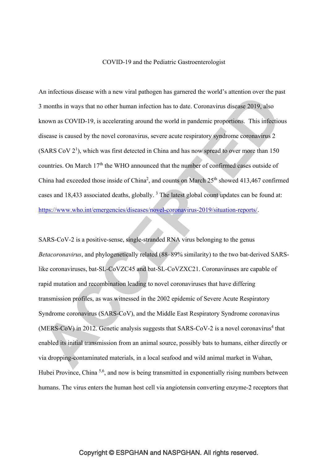#### COVID-19 and the Pediatric Gastroenterologist

An infectious disease with a new viral pathogen has garnered the world's attention over the past 3 months in ways that no other human infection has to date. Coronavirus disease 2019, also known as COVID-19, is accelerating around the world in pandemic proportions. This infectious disease is caused by the novel coronavirus, severe acute respiratory syndrome coronavirus 2  $(SARS \, \text{Cov } 2^1)$ , which was first detected in China and has now spread to over more than 150 countries. On March 17<sup>th</sup> the WHO announced that the number of confirmed cases outside of China had exceeded those inside of China<sup>2</sup>, and counts on March  $25<sup>th</sup>$  showed 413,467 confirmed cases and 18,433 associated deaths, globally.<sup>3</sup> The latest global count updates can be found at: https://www.who.int/emergencies/diseases/novel-coronavirus-2019/situation-reports/.

SARS-CoV-2 is a positive-sense, single-stranded RNA virus belonging to the genus *Betacoronavirus*, and phylogenetically related (88–89% similarity) to the two bat-derived SARSlike coronaviruses, bat-SL-CoVZC45 and bat-SL-CoVZXC21. Coronaviruses are capable of rapid mutation and recombination leading to novel coronaviruses that have differing transmission profiles, as was witnessed in the 2002 epidemic of Severe Acute Respiratory Syndrome coronavirus (SARS-CoV), and the Middle East Respiratory Syndrome coronavirus  $(MERS-CoV)$  in 2012. Genetic analysis suggests that SARS-CoV-2 is a novel coronavirus<sup>4</sup> that enabled its initial transmission from an animal source, possibly bats to humans, either directly or via dropping-contaminated materials, in a local seafood and wild animal market in Wuhan, Hubei Province, China <sup>5,6</sup>, and now is being transmitted in exponentially rising numbers between humans. The virus enters the human host cell via angiotensin converting enzyme-2 receptors that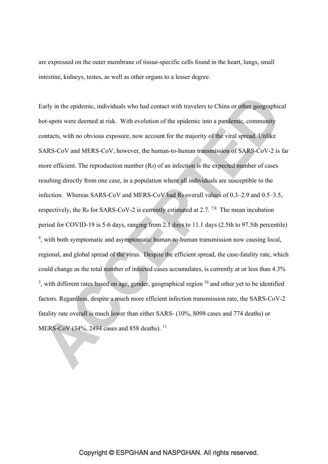are expressed on the outer membrane of tissue-specific cells found in the heart, lungs, small intestine, kidneys, testes, as well as other organs to a lesser degree.

Early in the epidemic, individuals who had contact with travelers to China or other geographical hot-spots were deemed at risk. With evolution of the epidemic into a pandemic, community contacts, with no obvious exposure, now account for the majority of the viral spread. Unlike SARS-CoV and MERS-CoV, however, the human-to-human transmission of SARS-CoV-2 is far more efficient. The reproduction number  $(R<sub>0</sub>)$  of an infection is the expected number of cases resulting directly from one case, in a population where all individuals are susceptible to the infection. Whereas SARS-CoV and MERS-CoV had R<sub>0</sub> overall values of 0.3–2.9 and 0.5–3.5, respectively, the R<sub>0</sub> for SARS-CoV-2 is currently estimated at 2.7.<sup>7,8</sup> The mean incubation period for COVID-19 is 5-6 days, ranging from 2.1 days to 11.1 days (2.5th to 97.5th percentile) <sup>9</sup>, with both symptomatic and asymptomatic human-to-human transmission now causing local, regional, and global spread of the virus. Despite the efficient spread, the case-fatality rate, which could change as the total number of infected cases accumulates, is currently at or less than 4.3%  $3$ , with different rates based on age, gender, geographical region  $10$  and other yet to be identified factors. Regardless, despite a much more efficient infection transmission rate, the SARS-CoV-2 fatality rate overall is much lower than either SARS- (10%, 8098 cases and 774 deaths) or MERS-CoV (34%, 2494 cases and 858 deaths).<sup>11</sup>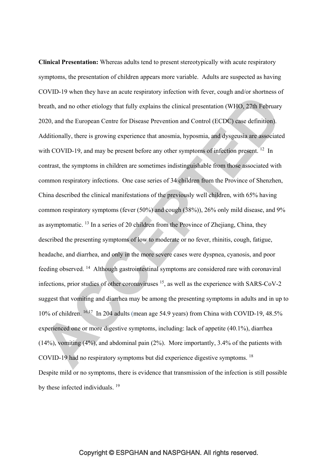**Clinical Presentation:** Whereas adults tend to present stereotypically with acute respiratory symptoms, the presentation of children appears more variable. Adults are suspected as having COVID-19 when they have an acute respiratory infection with fever, cough and/or shortness of breath, and no other etiology that fully explains the clinical presentation (WHO, 27th February 2020, and the European Centre for Disease Prevention and Control (ECDC) case definition). Additionally, there is growing experience that anosmia, hyposmia, and dysgeusia are associated with COVID-19, and may be present before any other symptoms of infection present.<sup>12</sup> In contrast, the symptoms in children are sometimes indistinguishable from those associated with common respiratory infections. One case series of 34 children from the Province of Shenzhen, China described the clinical manifestations of the previously well children, with 65% having common respiratory symptoms (fever (50%) and cough (38%)), 26% only mild disease, and 9% as asymptomatic. 13 In a series of 20 children from the Province of Zhejiang, China, they described the presenting symptoms of low to moderate or no fever, rhinitis, cough, fatigue, headache, and diarrhea, and only in the more severe cases were dyspnea, cyanosis, and poor feeding observed. 14 Although gastrointestinal symptoms are considered rare with coronaviral infections, prior studies of other coronaviruses  $15$ , as well as the experience with SARS-CoV-2 suggest that vomiting and diarrhea may be among the presenting symptoms in adults and in up to 10% of children. 16,17 In 204 adults (mean age 54.9 years) from China with COVID-19, 48.5% experienced one or more digestive symptoms, including: lack of appetite (40.1%), diarrhea (14%), vomiting (4%), and abdominal pain (2%). More importantly, 3.4% of the patients with COVID-19 had no respiratory symptoms but did experience digestive symptoms. 18 Despite mild or no symptoms, there is evidence that transmission of the infection is still possible by these infected individuals. <sup>19</sup>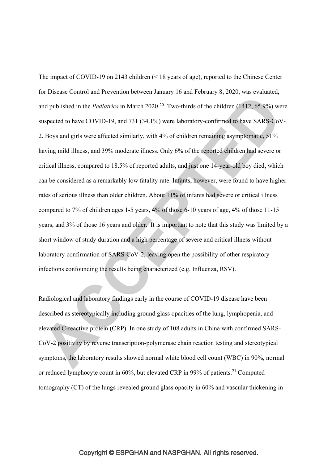The impact of COVID-19 on 2143 children (< 18 years of age), reported to the Chinese Center for Disease Control and Prevention between January 16 and February 8, 2020, was evaluated, and published in the *Pediatrics* in March 2020.<sup>20</sup> Two-thirds of the children (1412, 65.9%) were suspected to have COVID-19, and 731 (34.1%) were laboratory-confirmed to have SARS-CoV-2. Boys and girls were affected similarly, with 4% of children remaining asymptomatic, 51% having mild illness, and 39% moderate illness. Only 6% of the reported children had severe or critical illness, compared to 18.5% of reported adults, and just one 14-year-old boy died, which can be considered as a remarkably low fatality rate. Infants, however, were found to have higher rates of serious illness than older children. About 11% of infants had severe or critical illness compared to 7% of children ages 1-5 years, 4% of those 6-10 years of age, 4% of those 11-15 years, and 3% of those 16 years and older. It is important to note that this study was limited by a short window of study duration and a high percentage of severe and critical illness without laboratory confirmation of SARS-CoV-2, leaving open the possibility of other respiratory infections confounding the results being characterized (e.g. Influenza, RSV).

Radiological and laboratory findings early in the course of COVID-19 disease have been described as stereotypically including ground glass opacities of the lung, lymphopenia, and elevated C-reactive protein (CRP). In one study of 108 adults in China with confirmed SARS-CoV-2 positivity by reverse transcription-polymerase chain reaction testing and stereotypical symptoms, the laboratory results showed normal white blood cell count (WBC) in 90%, normal or reduced lymphocyte count in  $60\%$ , but elevated CRP in 99% of patients.<sup>21</sup> Computed tomography (CT) of the lungs revealed ground glass opacity in 60% and vascular thickening in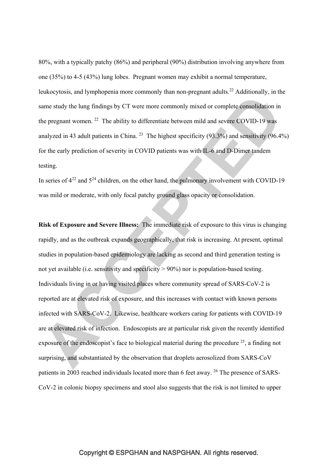80%, with a typically patchy (86%) and peripheral (90%) distribution involving anywhere from one (35%) to 4-5 (43%) lung lobes. Pregnant women may exhibit a normal temperature, leukocytosis, and lymphopenia more commonly than non-pregnant adults.<sup>22</sup> Additionally, in the same study the lung findings by CT were more commonly mixed or complete consolidation in the pregnant women. 22 The ability to differentiate between mild and severe COVID-19 was analyzed in 43 adult patients in China. <sup>23</sup> The highest specificity  $(93.3\%)$  and sensitivity  $(96.4\%)$ for the early prediction of severity in COVID patients was with IL-6 and D-Dimer tandem testing.

In series of  $4^{22}$  and  $5^{24}$  children, on the other hand, the pulmonary involvement with COVID-19 was mild or moderate, with only focal patchy ground glass opacity or consolidation.

**Risk of Exposure and Severe Illness:** The immediate risk of exposure to this virus is changing rapidly, and as the outbreak expands geographically, that risk is increasing. At present, optimal studies in population-based epidemiology are lacking as second and third generation testing is not yet available (i.e. sensitivity and specificity > 90%) nor is population-based testing. Individuals living in or having visited places where community spread of SARS-CoV-2 is reported are at elevated risk of exposure, and this increases with contact with known persons infected with SARS-CoV-2. Likewise, healthcare workers caring for patients with COVID-19 are at elevated risk of infection. Endoscopists are at particular risk given the recently identified exposure of the endoscopist's face to biological material during the procedure  $25$ , a finding not surprising, and substantiated by the observation that droplets aerosolized from SARS-CoV patients in 2003 reached individuals located more than 6 feet away. 26 The presence of SARS-CoV-2 in colonic biopsy specimens and stool also suggests that the risk is not limited to upper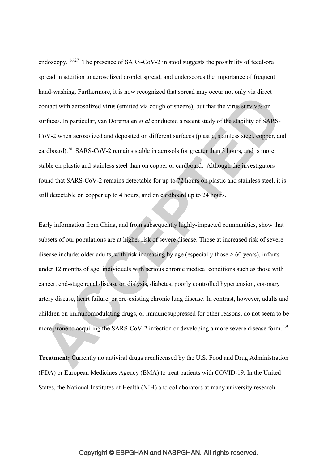endoscopy. <sup>16,27</sup> The presence of SARS-CoV-2 in stool suggests the possibility of fecal-oral spread in addition to aerosolized droplet spread, and underscores the importance of frequent hand-washing. Furthermore, it is now recognized that spread may occur not only via direct contact with aerosolized virus (emitted via cough or sneeze), but that the virus survives on surfaces. In particular, van Doremalen *et al* conducted a recent study of the stability of SARS-CoV-2 when aerosolized and deposited on different surfaces (plastic, stainless steel, copper, and cardboard).28 SARS-CoV-2 remains stable in aerosols for greater than 3 hours, and is more stable on plastic and stainless steel than on copper or cardboard. Although the investigators found that SARS-CoV-2 remains detectable for up to 72 hours on plastic and stainless steel, it is still detectable on copper up to 4 hours, and on cardboard up to 24 hours.

Early information from China, and from subsequently highly-impacted communities, show that subsets of our populations are at higher risk of severe disease. Those at increased risk of severe disease include: older adults, with risk increasing by age (especially those  $> 60$  years), infants under 12 months of age, individuals with serious chronic medical conditions such as those with cancer, end-stage renal disease on dialysis, diabetes, poorly controlled hypertension, coronary artery disease, heart failure, or pre-existing chronic lung disease. In contrast, however, adults and children on immunomodulating drugs, or immunosuppressed for other reasons, do not seem to be more prone to acquiring the SARS-CoV-2 infection or developing a more severe disease form. 29

**Treatment:** Currently no antiviral drugs arenlicensed by the U.S. Food and Drug Administration (FDA) or European Medicines Agency (EMA) to treat patients with COVID-19. In the United States, the National Institutes of Health (NIH) and collaborators at many university research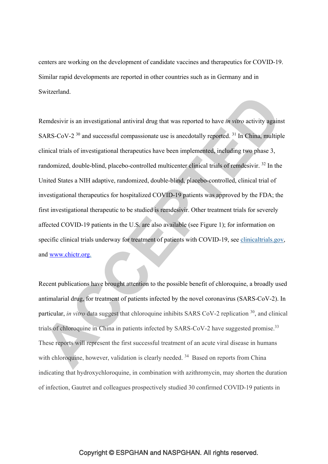centers are working on the development of candidate vaccines and therapeutics for COVID-19. Similar rapid developments are reported in other countries such as in Germany and in Switzerland.

Remdesivir is an investigational antiviral drug that was reported to have *in vitro* activity against SARS-CoV-2<sup>30</sup> and successful compassionate use is anecdotally reported.<sup>31</sup> In China, multiple clinical trials of investigational therapeutics have been implemented, including two phase 3, randomized, double-blind, placebo-controlled multicenter clinical trials of remdesivir. 32 In the United States a NIH adaptive, randomized, double-blind, placebo-controlled, clinical trial of investigational therapeutics for hospitalized COVID-19 patients was approved by the FDA; the first investigational therapeutic to be studied is remdesivir. Other treatment trials for severely affected COVID-19 patients in the U.S. are also available (see Figure 1); for information on specific clinical trials underway for treatment of patients with COVID-19, see clinicaltrials.gov, and www.chictr.org.

Recent publications have brought attention to the possible benefit of chloroquine, a broadly used antimalarial drug, for treatment of patients infected by the novel coronavirus (SARS-CoV-2). In particular, *in vitro* data suggest that chloroquine inhibits SARS CoV-2 replication <sup>30</sup>, and clinical trials of chloroquine in China in patients infected by SARS-CoV-2 have suggested promise.<sup>33</sup> These reports will represent the first successful treatment of an acute viral disease in humans with chloroquine, however, validation is clearly needed.<sup>34</sup> Based on reports from China indicating that hydroxychloroquine, in combination with azithromycin, may shorten the duration of infection, Gautret and colleagues prospectively studied 30 confirmed COVID-19 patients in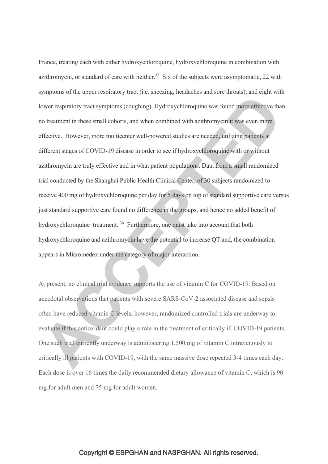France, treating each with either hydroxychloroquine, hydroxychloroquine in combination with azithromycin, or standard of care with neither.<sup>35</sup> Six of the subjects were asymptomatic, 22 with symptoms of the upper respiratory tract (i.e. sneezing, headaches and sore throats), and eight with lower respiratory tract symptoms (coughing). Hydroxychloroquine was found more effective than no treatment in these small cohorts, and when combined with azithromycin it was even more effective. However, more multicenter well-powered studies are needed, utilizing patients at different stages of COVID-19 disease in order to see if hydroxychloroquine with or without azithromycin are truly effective and in what patient populations. Data from a small randomized trial conducted by the Shanghai Public Health Clinical Center, of 30 subjects randomized to receive 400 mg of hydroxychloroquine per day for 5 days on top of standard supportive care versus just standard supportive care found no difference in the groups, and hence no added benefit of hydroxychloroquine treatment. 36 Furthermore, one must take into account that both hydroxychloroquine and azithromycin have the potential to increase QT and, the combination appears in Micromedex under the category of major interaction.

At present, no clinical trial evidence supports the use of vitamin C for COVID-19. Based on anecdotal observations that patients with severe SARS-CoV-2 associated disease and sepsis often have reduced vitamin C levels, however, randomized controlled trials are underway to evaluate if this antioxidant could play a role in the treatment of critically ill COVID-19 patients. One such trial currently underway is administering 1,500 mg of vitamin C intravenously to critically ill patients with COVID-19, with the same massive dose repeated 3-4 times each day. Each dose is over 16 times the daily recommended dietary allowance of vitamin C, which is 90 mg for adult men and 75 mg for adult women.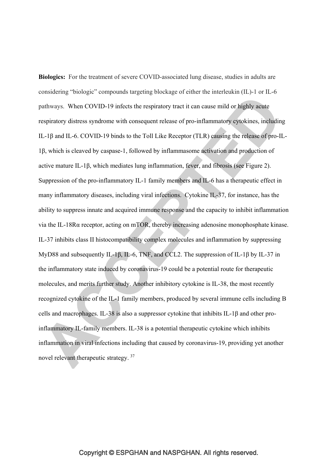**Biologics:** For the treatment of severe COVID-associated lung disease, studies in adults are considering "biologic" compounds targeting blockage of either the interleukin (IL)-1 or IL-6 pathways. When COVID-19 infects the respiratory tract it can cause mild or highly acute respiratory distress syndrome with consequent release of pro-inflammatory cytokines, including IL-1β and IL-6. COVID-19 binds to the Toll Like Receptor (TLR) causing the release of pro-IL-1β, which is cleaved by caspase-1, followed by inflammasome activation and production of active mature IL-1β, which mediates lung inflammation, fever, and fibrosis (see Figure 2). Suppression of the pro-inflammatory IL-1 family members and IL-6 has a therapeutic effect in many inflammatory diseases, including viral infections. Cytokine IL-37, for instance, has the ability to suppress innate and acquired immune response and the capacity to inhibit inflammation via the IL-18Rα receptor, acting on mTOR, thereby increasing adenosine monophosphate kinase. IL-37 inhibits class II histocompatibility complex molecules and inflammation by suppressing MyD88 and subsequently IL-1β, IL-6, TNF, and CCL2. The suppression of IL-1β by IL-37 in the inflammatory state induced by coronavirus-19 could be a potential route for therapeutic molecules, and merits further study. Another inhibitory cytokine is IL-38, the most recently recognized cytokine of the IL-1 family members, produced by several immune cells including B cells and macrophages. IL-38 is also a suppressor cytokine that inhibits IL-1β and other proinflammatory IL-family members. IL-38 is a potential therapeutic cytokine which inhibits inflammation in viral infections including that caused by coronavirus-19, providing yet another novel relevant therapeutic strategy. 37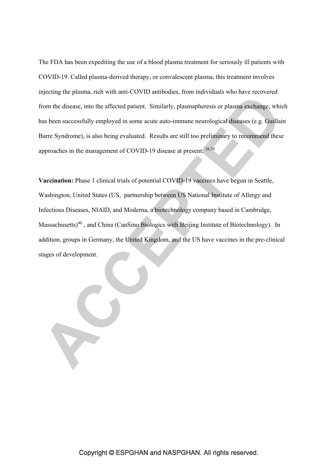The FDA has been expediting the use of a blood plasma treatment for seriously ill patients with COVID-19. Called plasma-derived therapy, or convalescent plasma, this treatment involves injecting the plasma, rich with anti-COVID antibodies, from individuals who have recovered from the disease, into the affected patient. Similarly, plasmapheresis or plasma exchange, which has been successfully employed in some acute auto-immune neurological diseases (e.g. Guillain Barre Syndrome), is also being evaluated. Results are still too preliminary to recommend these approaches in the management of COVID-19 disease at present. 38,39

**Vaccination:** Phase 1 clinical trials of potential COVID-19 vaccines have begun in Seattle, Washington, United States (US, partnership between US National Institute of Allergy and Infectious Diseases, NIAID, and Moderna, a biotechnology company based in Cambridge, Massachusetts)40 , and China (CanSino Biologics with Beijing Institute of Biotechnology). In addition, groups in Germany, the United Kingdom, and the US have vaccines in the pre-clinical stages of development.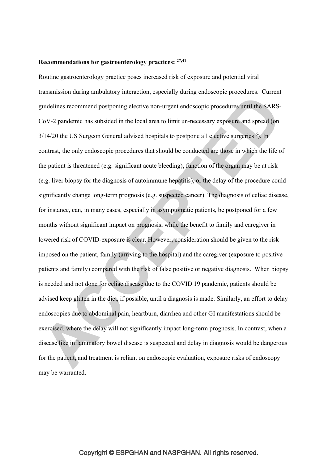#### **Recommendations for gastroenterology practices: 27,41**

Routine gastroenterology practice poses increased risk of exposure and potential viral transmission during ambulatory interaction, especially during endoscopic procedures. Current guidelines recommend postponing elective non-urgent endoscopic procedures until the SARS-CoV-2 pandemic has subsided in the local area to limit un-necessary exposure and spread (on  $3/14/20$  the US Surgeon General advised hospitals to postpone all elective surgeries  $6$ ). In contrast, the only endoscopic procedures that should be conducted are those in which the life of the patient is threatened (e.g. significant acute bleeding), function of the organ may be at risk (e.g. liver biopsy for the diagnosis of autoimmune hepatitis), or the delay of the procedure could significantly change long-term prognosis (e.g. suspected cancer). The diagnosis of celiac disease, for instance, can, in many cases, especially in asymptomatic patients, be postponed for a few months without significant impact on prognosis, while the benefit to family and caregiver in lowered risk of COVID-exposure is clear. However, consideration should be given to the risk imposed on the patient, family (arriving to the hospital) and the caregiver (exposure to positive patients and family) compared with the risk of false positive or negative diagnosis. When biopsy is needed and not done for celiac disease due to the COVID 19 pandemic, patients should be advised keep gluten in the diet, if possible, until a diagnosis is made. Similarly, an effort to delay endoscopies due to abdominal pain, heartburn, diarrhea and other GI manifestations should be exercised, where the delay will not significantly impact long-term prognosis. In contrast, when a disease like inflammatory bowel disease is suspected and delay in diagnosis would be dangerous for the patient, and treatment is reliant on endoscopic evaluation, exposure risks of endoscopy may be warranted.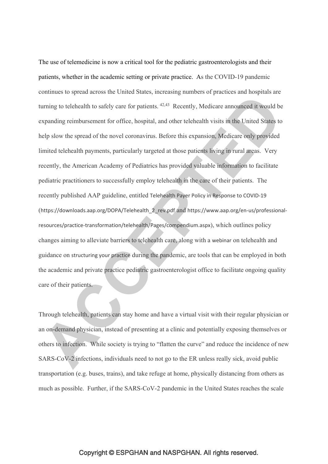The use of telemedicine is now a critical tool for the pediatric gastroenterologists and their patients, whether in the academic setting or private practice. As the COVID-19 pandemic continues to spread across the United States, increasing numbers of practices and hospitals are turning to telehealth to safely care for patients. 42,43 Recently, Medicare announced it would be expanding reimbursement for office, hospital, and other telehealth visits in the United States to help slow the spread of the novel coronavirus. Before this expansion, Medicare only provided limited telehealth payments, particularly targeted at those patients living in rural areas. Very recently, the American Academy of Pediatrics has provided valuable information to facilitate pediatric practitioners to successfully employ telehealth in the care of their patients. The recently published AAP guideline, entitled Telehealth Payer Policy in Response to COVID-19 (https://downloads.aap.org/DOPA/Telehealth\_2\_rev.pdf and https://www.aap.org/en-us/professionalresources/practice-transformation/telehealth/Pages/compendium.aspx), which outlines policy changes aiming to alleviate barriers to telehealth care, along with a webinar on telehealth and guidance on structuring your practice during the pandemic, are tools that can be employed in both the academic and private practice pediatric gastroenterologist office to facilitate ongoing quality care of their patients.

Through telehealth, patients can stay home and have a virtual visit with their regular physician or an on-demand physician, instead of presenting at a clinic and potentially exposing themselves or others to infection. While society is trying to "flatten the curve" and reduce the incidence of new SARS-CoV-2 infections, individuals need to not go to the ER unless really sick, avoid public transportation (e.g. buses, trains), and take refuge at home, physically distancing from others as much as possible. Further, if the SARS-CoV-2 pandemic in the United States reaches the scale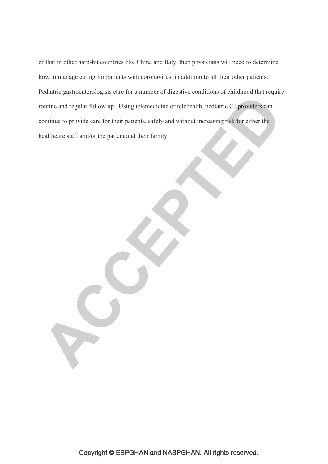of that in other hard-hit countries like China and Italy, then physicians will need to determine how to manage caring for patients with coronavirus, in addition to all their other patients. Pediatric gastroenterologists care for a number of digestive conditions of childhood that require routine and regular follow up. Using telemedicine or telehealth, pediatric GI providers can continue to provide care for their patients, safely and without increasing risk for either the healthcare staff and/or the patient and their family.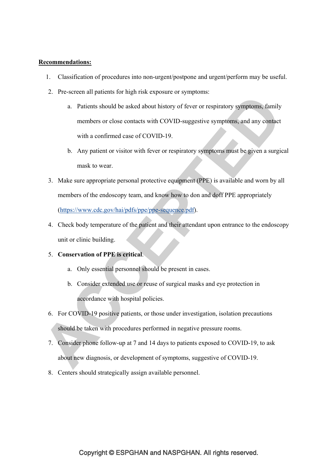#### **Recommendations:**

- 1. Classification of procedures into non-urgent/postpone and urgent/perform may be useful.
- 2. Pre-screen all patients for high risk exposure or symptoms:
	- a. Patients should be asked about history of fever or respiratory symptoms, family members or close contacts with COVID-suggestive symptoms, and any contact with a confirmed case of COVID-19.
	- b. Any patient or visitor with fever or respiratory symptoms must be given a surgical mask to wear.
- 3. Make sure appropriate personal protective equipment (PPE) is available and worn by all members of the endoscopy team, and know how to don and doff PPE appropriately (https://www.cdc.gov/hai/pdfs/ppe/ppe-sequence.pdf).
- 4. Check body temperature of the patient and their attendant upon entrance to the endoscopy unit or clinic building.

#### 5. **Conservation of PPE is critical**.

- a. Only essential personnel should be present in cases.
- b. Consider extended use or reuse of surgical masks and eye protection in accordance with hospital policies.
- 6. For COVID-19 positive patients, or those under investigation, isolation precautions should be taken with procedures performed in negative pressure rooms.
- 7. Consider phone follow-up at 7 and 14 days to patients exposed to COVID-19, to ask about new diagnosis, or development of symptoms, suggestive of COVID-19.
- 8. Centers should strategically assign available personnel.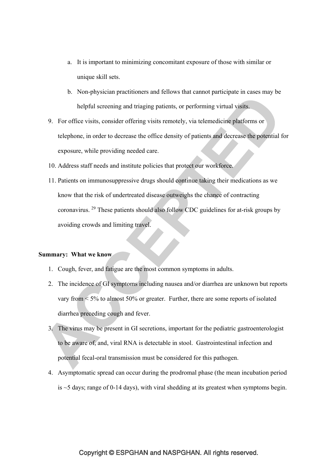- a. It is important to minimizing concomitant exposure of those with similar or unique skill sets.
- b. Non-physician practitioners and fellows that cannot participate in cases may be helpful screening and triaging patients, or performing virtual visits.
- 9. For office visits, consider offering visits remotely, via telemedicine platforms or telephone, in order to decrease the office density of patients and decrease the potential for exposure, while providing needed care.
- 10. Address staff needs and institute policies that protect our workforce.
- 11. Patients on immunosuppressive drugs should continue taking their medications as we know that the risk of undertreated disease outweighs the chance of contracting coronavirus. 29 These patients should also follow CDC guidelines for at-risk groups by avoiding crowds and limiting travel.

#### **Summary: What we know**

- 1. Cough, fever, and fatigue are the most common symptoms in adults.
- 2. The incidence of GI symptoms including nausea and/or diarrhea are unknown but reports vary from  $\leq 5\%$  to almost 50% or greater. Further, there are some reports of isolated diarrhea preceding cough and fever.
- 3. The virus may be present in GI secretions, important for the pediatric gastroenterologist to be aware of, and, viral RNA is detectable in stool. Gastrointestinal infection and potential fecal-oral transmission must be considered for this pathogen.
- 4. Asymptomatic spread can occur during the prodromal phase (the mean incubation period is ~5 days; range of 0-14 days), with viral shedding at its greatest when symptoms begin.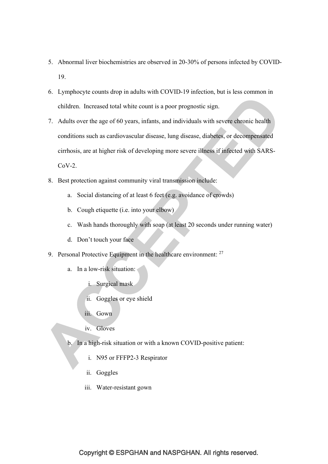- 5. Abnormal liver biochemistries are observed in 20-30% of persons infected by COVID-19.
- 6. Lymphocyte counts drop in adults with COVID-19 infection, but is less common in children. Increased total white count is a poor prognostic sign.
- 7. Adults over the age of 60 years, infants, and individuals with severe chronic health conditions such as cardiovascular disease, lung disease, diabetes, or decompensated cirrhosis, are at higher risk of developing more severe illness if infected with SARS- $CoV-2$ .
- 8. Best protection against community viral transmission include:
	- a. Social distancing of at least 6 feet (e.g. avoidance of crowds)
	- b. Cough etiquette (i.e. into your elbow)
	- c. Wash hands thoroughly with soap (at least 20 seconds under running water)
	- d. Don't touch your face
- 9. Personal Protective Equipment in the healthcare environment: <sup>27</sup>
	- a. In a low-risk situation:
		- i. Surgical mask
		- ii. Goggles or eye shield
		- iii. Gown
		- iv. Gloves
	- b. In a high-risk situation or with a known COVID-positive patient:
		- i. N95 or FFFP2-3 Respirator
		- ii. Goggles
		- iii. Water-resistant gown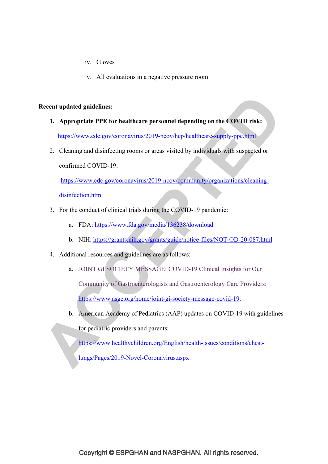- iv. Gloves
- v. All evaluations in a negative pressure room

#### **Recent updated guidelines:**

- **1. Appropriate PPE for healthcare personnel depending on the COVID risk:**  https://www.cdc.gov/coronavirus/2019-ncov/hcp/healthcare-supply-ppe.html
- 2. Cleaning and disinfecting rooms or areas visited by individuals with suspected or

confirmed COVID-19:

https://www.cdc.gov/coronavirus/2019-ncov/community/organizations/cleaning-

disinfection.html

- 3. For the conduct of clinical trials during the COVID-19 pandemic:
	- a. FDA: https://www.fda.gov/media/136238/download
	- b. NIH: https://grants.nih.gov/grants/guide/notice-files/NOT-OD-20-087.html
- 4. Additional resources and guidelines are as follows:
	- a. JOINT GI SOCIETY MESSAGE: COVID-19 Clinical Insights for Our Community of Gastroenterologists and Gastroenterology Care Providers: https://www.asge.org/home/joint-gi-society-message-covid-19.
	- b. American Academy of Pediatrics (AAP) updates on COVID-19 with guidelines for pediatric providers and parents:

https://www.healthychildren.org/English/health-issues/conditions/chest-

lungs/Pages/2019-Novel-Coronavirus.aspx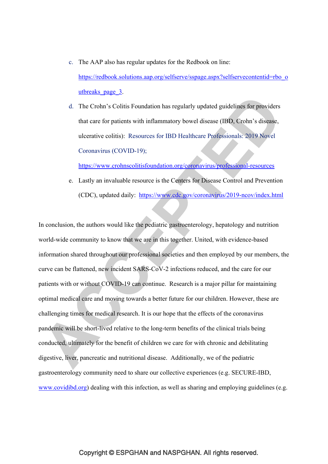c. The AAP also has regular updates for the Redbook on line:

https://redbook.solutions.aap.org/selfserve/sspage.aspx?selfservecontentid=rbo\_o utbreaks page 3.

d. The Crohn's Colitis Foundation has regularly updated guidelines for providers that care for patients with inflammatory bowel disease (IBD, Crohn's disease, ulcerative colitis): Resources for IBD Healthcare Professionals: 2019 Novel Coronavirus (COVID-19);

https://www.crohnscolitisfoundation.org/coronavirus/professional-resources

e. Lastly an invaluable resource is the Centers for Disease Control and Prevention (CDC), updated daily: https://www.cdc.gov/coronavirus/2019-ncov/index.html

In conclusion, the authors would like the pediatric gastroenterology, hepatology and nutrition world-wide community to know that we are in this together. United, with evidence-based information shared throughout our professional societies and then employed by our members, the curve can be flattened, new incident SARS-CoV-2 infections reduced, and the care for our patients with or without COVID-19 can continue. Research is a major pillar for maintaining optimal medical care and moving towards a better future for our children. However, these are challenging times for medical research. It is our hope that the effects of the coronavirus pandemic will be short-lived relative to the long-term benefits of the clinical trials being conducted, ultimately for the benefit of children we care for with chronic and debilitating digestive, liver, pancreatic and nutritional disease. Additionally, we of the pediatric gastroenterology community need to share our collective experiences (e.g. SECURE-IBD, www.covidibd.org) dealing with this infection, as well as sharing and employing guidelines (e.g.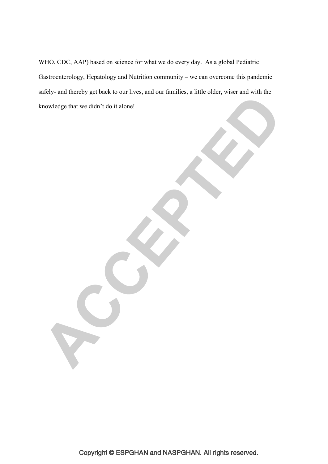WHO, CDC, AAP) based on science for what we do every day. As a global Pediatric Gastroenterology, Hepatology and Nutrition community – we can overcome this pandemic safely- and thereby get back to our lives, and our families, a little older, wiser and with the knowledge that we didn't do it alone!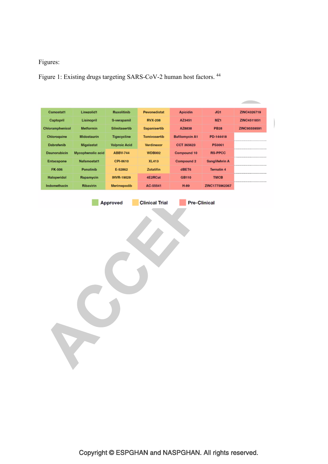# Figures:

Figure 1: Existing drugs targeting SARS-CoV-2 human host factors. 44

| <b>Ruxolitinib</b><br>S-verapamil<br>Silmitasertib | Pevonedistat   |                       |                   |              |
|----------------------------------------------------|----------------|-----------------------|-------------------|--------------|
|                                                    |                | <b>Apicidin</b>       | JQ1               | ZINC4326719  |
|                                                    | <b>RVX-208</b> | AZ3451                | MZ <sub>1</sub>   | ZINC4511851  |
|                                                    | Sapanisertib   | AZ8838                | <b>PB28</b>       | ZINC95559591 |
| Tigecycline                                        | Tomivosertib   | <b>Bafilomycin A1</b> | PD-144418         |              |
| <b>Valproic Acid</b>                               | Verdinexor     | CCT 365623            | <b>PS3061</b>     |              |
| Mycophenolic acid<br><b>ABBV-744</b>               | <b>WDB002</b>  | Compound 10           | <b>RS-PPCC</b>    |              |
| CPI-0610                                           | <b>XL413</b>   | Compound 2            | Sanglifehrin A    |              |
| E-52862                                            | Zotatifin      | dBET6                 | <b>Ternatin 4</b> |              |
| <b>IHVR-19029</b>                                  | 4E2RCat        | <b>GB110</b>          | <b>TMCB</b>       |              |
| Merimepodib                                        | AC-55541       | $H-89$                | ZINC1775962367    |              |
|                                                    |                |                       |                   |              |
|                                                    |                |                       |                   |              |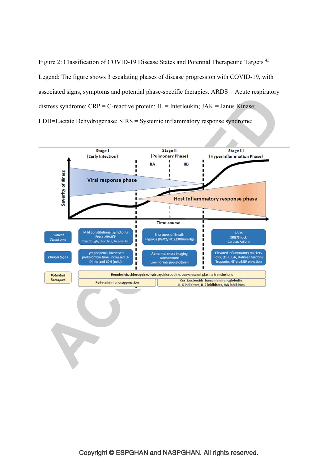Figure 2: Classification of COVID-19 Disease States and Potential Therapeutic Targets 45 Legend: The figure shows 3 escalating phases of disease progression with COVID-19, with associated signs, symptoms and potential phase-specific therapies. ARDS = Acute respiratory distress syndrome;  $CRP = C$ -reactive protein;  $IL = Interleukin$ ;  $JAK = Janus Kinase$ ; LDH=Lactate Dehydrogenase; SIRS = Systemic inflammatory response syndrome;

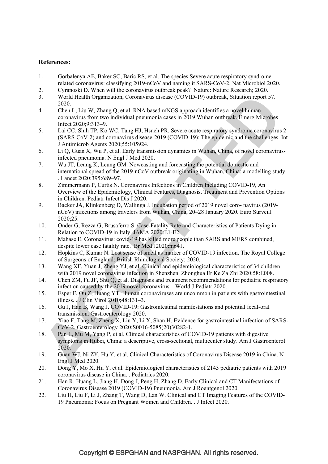### **References:**

- 1. Gorbalenya AE, Baker SC, Baric RS, et al. The species Severe acute respiratory syndromerelated coronavirus: classifying 2019-nCoV and naming it SARS-CoV-2. Nat Microbiol 2020.
- 2. Cyranoski D. When will the coronavirus outbreak peak? Nature: Nature Research; 2020.
- 3. World Health Organization, Coronavirus disease (COVID-19) outbreak, Situation report 57. 2020.
- 4. Chen L, Liu W, Zhang Q, et al. RNA based mNGS approach identifies a novel human coronavirus from two individual pneumonia cases in 2019 Wuhan outbreak. Emerg Microbes Infect 2020;9:313–9.
- 5. Lai CC, Shih TP, Ko WC, Tang HJ, Hsueh PR. Severe acute respiratory syndrome coronavirus 2 (SARS-CoV-2) and coronavirus disease-2019 (COVID-19): The epidemic and the challenges. Int J Antimicrob Agents 2020;55:105924.
- 6. Li Q, Guan X, Wu P, et al. Early transmission dynamics in Wuhan, China, of novel coronavirusinfected pneumonia. N Engl J Med 2020.
- 7. Wu JT, Leung K, Leung GM. Nowcasting and forecasting the potential domestic and international spread of the 2019-nCoV outbreak originating in Wuhan, China: a modelling study. . Lancet 2020;395:689–97.
- 8. Zimmermann P, Curtis N. Coronavirus Infections in Children Including COVID-19, An Overview of the Epidemiology, Clinical Features, Diagnosis, Treatment and Prevention Options in Children. Pediatr Infect Dis J 2020.
- 9. Backer JA, Klinkenberg D, Wallinga J. Incubation period of 2019 novel coro- navirus (2019 nCoV) infections among travelers from Wuhan, China, 20–28 January 2020. Euro Surveill 2020;25.
- 10. Onder G, Rezza G, Brusaferro S. Case-Fatality Rate and Characteristics of Patients Dying in Relation to COVID-19 in Italy. JAMA 2020:E1-E2.
- 11. Mahase E. Coronavirus: covid-19 has killed more people than SARS and MERS combined, despite lower case fatality rate. Br Med J2020:m641.
- 12. Hopkins C, Kumar N. Lost sense of smell as marker of COVID-19 infection. The Royal College of Surgeons of England: British Rhinological Society; 2020.
- 13. Wang XF, Yuan J, Zheng YJ, et al. Clinical and epidemiological characteristics of 34 children with 2019 novel coronavirus infection in Shenzhen. Zhonghua Er Ke Za Zhi 2020;58:E008.
- 14. Chen ZM, Fu JF, Shu Q, et al. Diagnosis and treatment recommendations for pediatric respiratory infection caused by the 2019 novel coronavirus. . World J Pediatr 2020.
- 15. Esper F, Ou Z, Huang YT. Human coronaviruses are uncommon in patients with gastrointestinal illness. . J Clin Virol 2010;48:131–3.
- 16. Gu J, Han B, Wang J. COVID-19: Gastrointestinal manifestations and potential fecal-oral transmission. Gastroenterology 2020.
- 17. Xiao F, Tang M, Zheng X, Liu Y, Li X, Shan H. Evidence for gastrointestinal infection of SARS-CoV-2. Gastroenterology 2020;S0016-5085(20)30282-1.
- 18. Pan L, Mu M, Yang P, et al. Clinical characteristics of COVID-19 patients with digestive symptoms in Hubei, China: a descriptive, cross-sectional, multicenter study. Am J Gastroenterol 2020.
- 19. Guan WJ, Ni ZY, Hu Y, et al. Clinical Characteristics of Coronavirus Disease 2019 in China. N Engl J Med 2020.
- 20. Dong Y, Mo X, Hu Y, et al. Epidemiological characteristics of 2143 pediatric patients with 2019 coronavirus disease in China. . Pediatrics 2020.
- 21. Han R, Huang L, Jiang H, Dong J, Peng H, Zhang D. Early Clinical and CT Manifestations of Coronavirus Disease 2019 (COVID-19) Pneumonia. Am J Roentgenol 2020.
- 22. Liu H, Liu F, Li J, Zhang T, Wang D, Lan W. Clinical and CT Imaging Features of the COVID-19 Pneumonia: Focus on Pregnant Women and Children. . J Infect 2020.